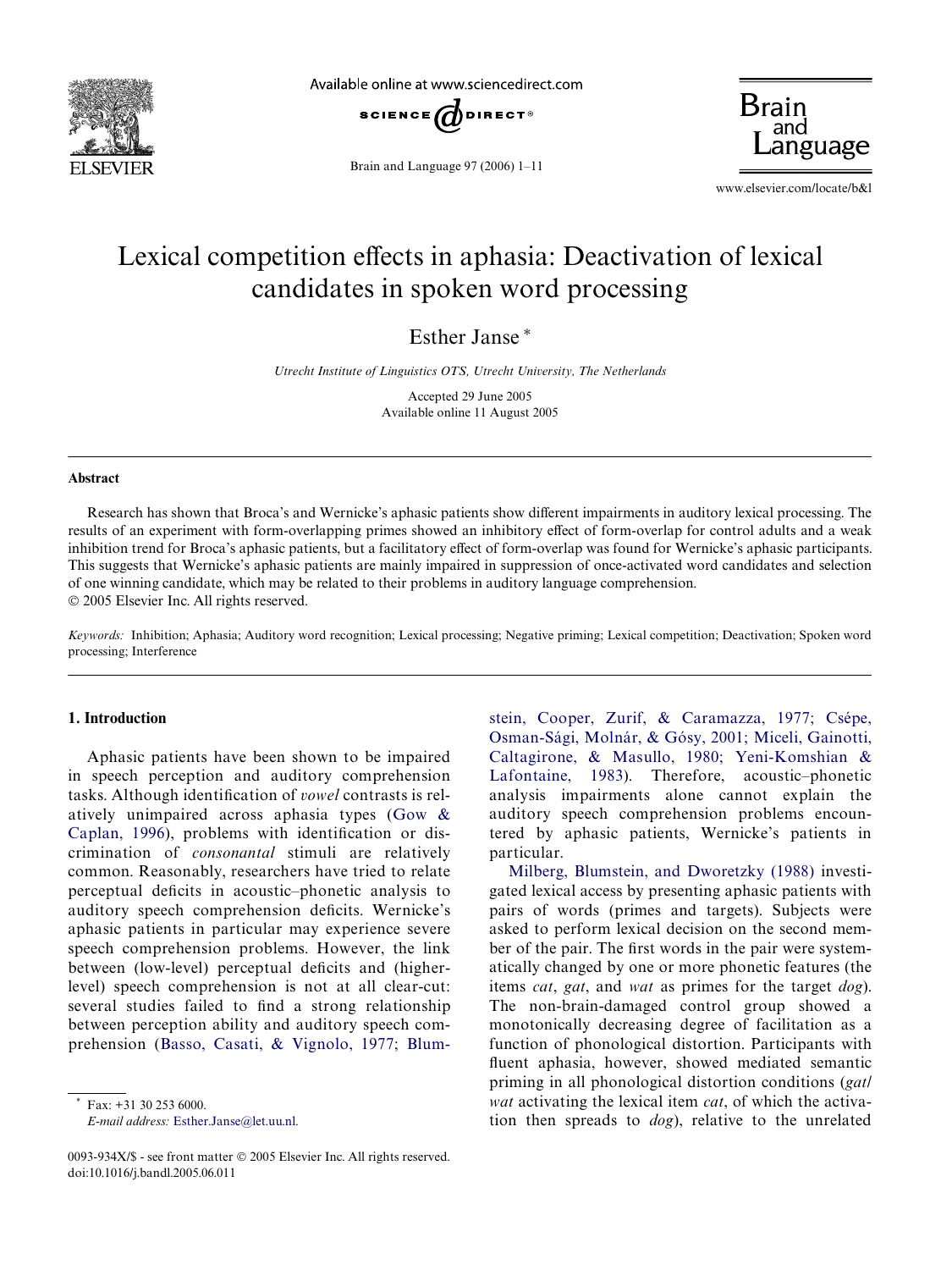

Available online at www.sciencedirect.com



Brain and Language 97 (2006) 1–11

**Brain** anguage

www.elsevier.com/locate/b&l

## Lexical competition effects in aphasia: Deactivation of lexical candidates in spoken word processing

Esther Janse\*

*Utrecht Institute of Linguistics OTS, Utrecht University, The Netherlands*

Accepted 29 June 2005 Available online 11 August 2005

## **Abstract**

Research has shown that Broca's and Wernicke's aphasic patients show different impairments in auditory lexical processing. The results of an experiment with form-overlapping primes showed an inhibitory effect of form-overlap for control adults and a weak inhibition trend for Broca's aphasic patients, but a facilitatory effect of form-overlap was found for Wernicke's aphasic participants. This suggests that Wernicke's aphasic patients are mainly impaired in suppression of once-activated word candidates and selection of one winning candidate, which may be related to their problems in auditory language comprehension. © 2005 Elsevier Inc. All rights reserved.

*Keywords:* Inhibition; Aphasia; Auditory word recognition; Lexical processing; Negative priming; Lexical competition; Deactivation; Spoken word processing; Interference

## **1. Introduction**

Aphasic patients have been shown to be impaired in speech perception and auditory comprehension tasks. Although identification of *vowel* contrasts is relatively unimpaired across aphasia types ([Gow &](#page--1-0) [Caplan, 1996](#page--1-0)), problems with identification or discrimination of *consonantal* stimuli are relatively common. Reasonably, researchers have tried to relate perceptual deficits in acoustic–phonetic analysis to auditory speech comprehension deficits. Wernicke's aphasic patients in particular may experience severe speech comprehension problems. However, the link between (low-level) perceptual deficits and (higherlevel) speech comprehension is not at all clear-cut: several studies failed to find a strong relationship between perception ability and auditory speech comprehension [\(Basso, Casati, & Vignolo, 1977; Blum-](#page--1-1)

 $\text{Fax: } +31,30,253,6000.$ 

*E-mail address:* [Esther.Janse@let.uu.nl.](mailto: Esther.Janse@let.uu.nl)

stein, Cooper, Zurif, & Caramazza, 1977; Csépe, [Osman-Sági, Molnár, & Gósy, 2001; Miceli, Gainotti,](#page--1-1) Caltagirone, & Masullo, 1980; Yeni-Komshian & [Lafontaine, 1983\)](#page--1-1). Therefore, acoustic–phonetic analysis impairments alone cannot explain the auditory speech comprehension problems encountered by aphasic patients, Wernicke's patients in particular.

[Milberg, Blumstein, and Dworetzky \(1988\)](#page--1-2) investigated lexical access by presenting aphasic patients with pairs of words (primes and targets). Subjects were asked to perform lexical decision on the second member of the pair. The first words in the pair were systematically changed by one or more phonetic features (the items *cat*, *gat*, and *wat* as primes for the target *dog*). The non-brain-damaged control group showed a monotonically decreasing degree of facilitation as a function of phonological distortion. Participants with fluent aphasia, however, showed mediated semantic priming in all phonological distortion conditions (*gat/ wat* activating the lexical item *cat*, of which the activation then spreads to *dog*), relative to the unrelated

<sup>0093-934</sup>X/\$ - see front matter © 2005 Elsevier Inc. All rights reserved. doi:10.1016/j.bandl.2005.06.011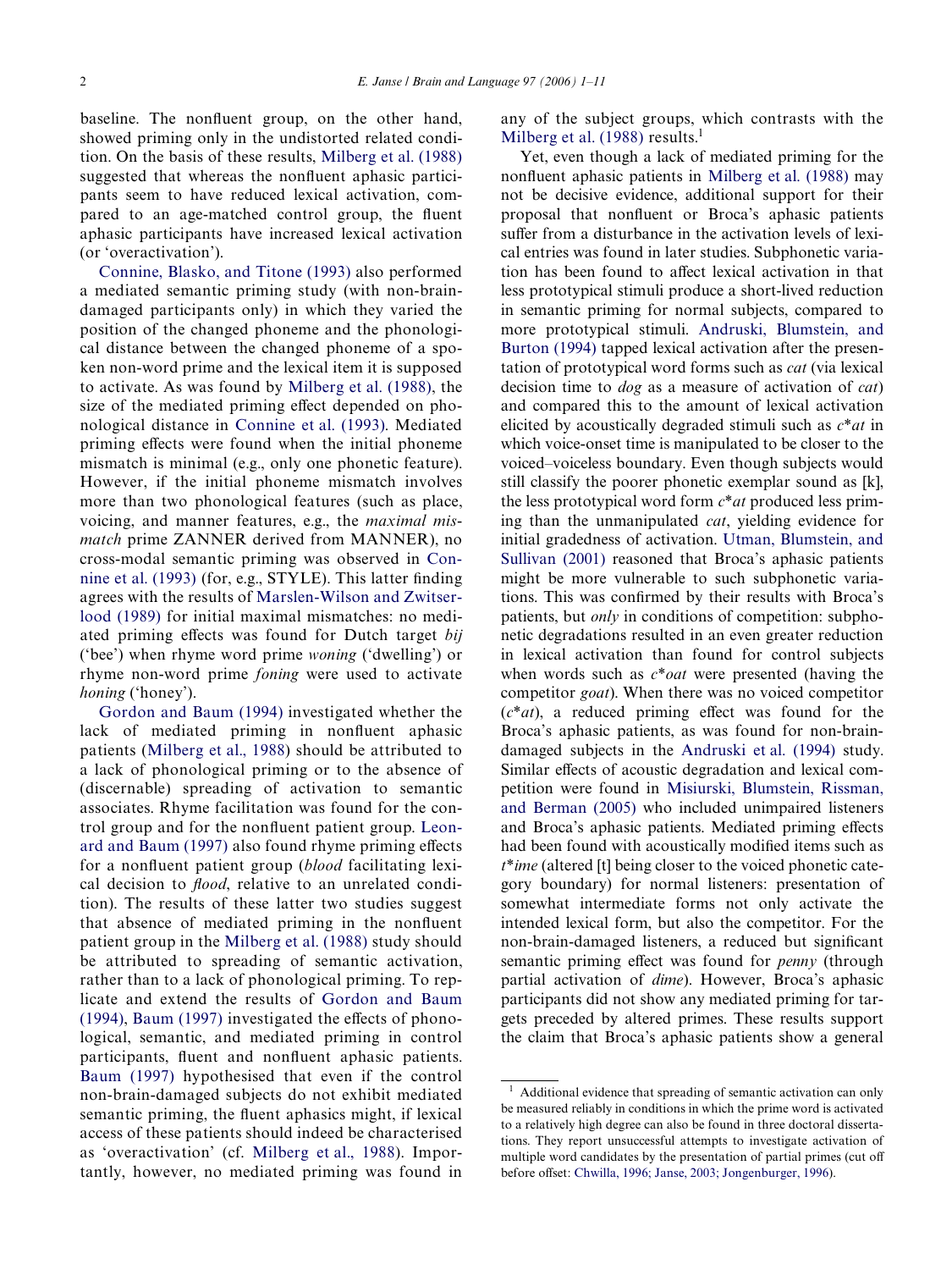baseline. The nonfluent group, on the other hand, showed priming only in the undistorted related condition. On the basis of these results, [Milberg et al. \(1988\)](#page--1-2) suggested that whereas the nonfluent aphasic participants seem to have reduced lexical activation, compared to an age-matched control group, the fluent aphasic participants have increased lexical activation (or 'overactivation').

[Connine, Blasko, and Titone \(1993\)](#page--1-3) also performed a mediated semantic priming study (with non-braindamaged participants only) in which they varied the position of the changed phoneme and the phonological distance between the changed phoneme of a spoken non-word prime and the lexical item it is supposed to activate. As was found by [Milberg et al. \(1988\)](#page--1-2), the size of the mediated priming effect depended on phonological distance in [Connine et al. \(1993\).](#page--1-3) Mediated priming effects were found when the initial phoneme mismatch is minimal (e.g., only one phonetic feature). However, if the initial phoneme mismatch involves more than two phonological features (such as place, voicing, and manner features, e.g., the *maximal mismatch* prime ZANNER derived from MANNER), no cross-modal semantic priming was observed in [Con](#page--1-3)nine et al.  $(1993)$  (for, e.g., STYLE). This latter finding agrees with the results of [Marslen-Wilson and Zwitser](#page--1-4)[lood \(1989\)](#page--1-4) for initial maximal mismatches: no mediated priming effects was found for Dutch target *bij* ('bee') when rhyme word prime *woning* ('dwelling') or rhyme non-word prime *foning* were used to activate *honing* ('honey').

[Gordon and Baum \(1994\)](#page--1-5) investigated whether the lack of mediated priming in nonfluent aphasic patients ([Milberg et al., 1988](#page--1-2)) should be attributed to a lack of phonological priming or to the absence of (discernable) spreading of activation to semantic associates. Rhyme facilitation was found for the con-trol group and for the nonfluent patient group. [Leon](#page--1-6)[ard and Baum \(1997\)](#page--1-6) also found rhyme priming effects for a nonfluent patient group (*blood* facilitating lexical decision to *flood*, relative to an unrelated condition). The results of these latter two studies suggest that absence of mediated priming in the nonfluent patient group in the [Milberg et al. \(1988\)](#page--1-2) study should be attributed to spreading of semantic activation, rather than to a lack of phonological priming. To replicate and extend the results of [Gordon and Baum](#page--1-5)  $(1994)$ , Baum  $(1997)$  investigated the effects of phonological, semantic, and mediated priming in control participants, fluent and nonfluent aphasic patients. [Baum \(1997\)](#page--1-7) hypothesised that even if the control non-brain-damaged subjects do not exhibit mediated semantic priming, the fluent aphasics might, if lexical access of these patients should indeed be characterised as 'overactivation' (cf. [Milberg et al., 1988](#page--1-2)). Importantly, however, no mediated priming was found in any of the subject groups, which contrasts with the Milberg et al.  $(1988)$  results.<sup>1</sup>

Yet, even though a lack of mediated priming for the nonfluent aphasic patients in [Milberg et al. \(1988\)](#page--1-2) may not be decisive evidence, additional support for their proposal that nonfluent or Broca's aphasic patients suffer from a disturbance in the activation levels of lexical entries was found in later studies. Subphonetic variation has been found to affect lexical activation in that less prototypical stimuli produce a short-lived reduction in semantic priming for normal subjects, compared to more prototypical stimuli. [Andruski, Blumstein, and](#page--1-9) [Burton \(1994\)](#page--1-9) tapped lexical activation after the presentation of prototypical word forms such as *cat* (via lexical decision time to *dog* as a measure of activation of *cat*) and compared this to the amount of lexical activation elicited by acoustically degraded stimuli such as *c*\**at* in which voice-onset time is manipulated to be closer to the voiced–voiceless boundary. Even though subjects would still classify the poorer phonetic exemplar sound as [k], the less prototypical word form *c*\**at* produced less priming than the unmanipulated *cat*, yielding evidence for initial gradedness of activation. [Utman, Blumstein, and](#page--1-10) [Sullivan \(2001\)](#page--1-10) reasoned that Broca's aphasic patients might be more vulnerable to such subphonetic variations. This was confirmed by their results with Broca's patients, but *only* in conditions of competition: subphonetic degradations resulted in an even greater reduction in lexical activation than found for control subjects when words such as *c*\**oat* were presented (having the competitor *goat*). When there was no voiced competitor  $(c^*at)$ , a reduced priming effect was found for the Broca's aphasic patients, as was found for non-braindamaged subjects in the [Andruski et al. \(1994\)](#page--1-9) study. Similar effects of acoustic degradation and lexical competition were found in [Misiurski, Blumstein, Rissman,](#page--1-11) [and Berman \(2005\)](#page--1-11) who included unimpaired listeners and Broca's aphasic patients. Mediated priming effects had been found with acoustically modified items such as *t*\**ime* (altered [t] being closer to the voiced phonetic category boundary) for normal listeners: presentation of somewhat intermediate forms not only activate the intended lexical form, but also the competitor. For the non-brain-damaged listeners, a reduced but significant semantic priming effect was found for *penny* (through partial activation of *dime*). However, Broca's aphasic participants did not show any mediated priming for targets preceded by altered primes. These results support the claim that Broca's aphasic patients show a general

<sup>1</sup> Additional evidence that spreading of semantic activation can only be measured reliably in conditions in which the prime word is activated to a relatively high degree can also be found in three doctoral dissertations. They report unsuccessful attempts to investigate activation of multiple word candidates by the presentation of partial primes (cut off before offset: [Chwilla, 1996; Janse, 2003; Jongenburger, 1996](#page--1-8)).